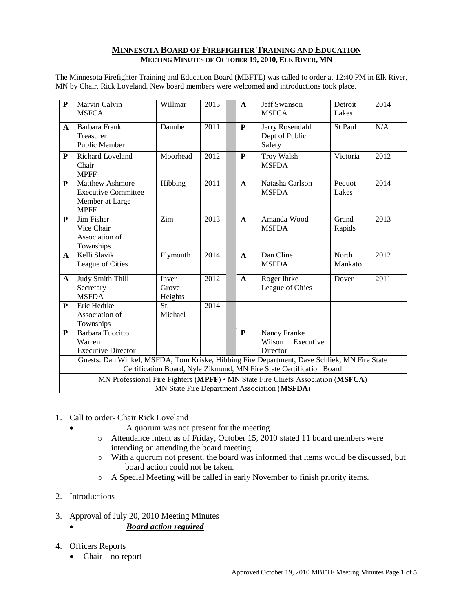## **MINNESOTA BOARD OF FIREFIGHTER TRAINING AND EDUCATION MEETING MINUTES OF OCTOBER 19, 2010, ELK RIVER, MN**

The Minnesota Firefighter Training and Education Board (MBFTE) was called to order at 12:40 PM in Elk River, MN by Chair, Rick Loveland. New board members were welcomed and introductions took place.

| $\mathbf{P}$                                                                                                                                                        | Marvin Calvin<br><b>MSFCA</b>                                                   | Willmar                   | 2013 |  | A            | <b>Jeff Swanson</b><br><b>MSFCA</b>             | Detroit<br>Lakes | 2014 |
|---------------------------------------------------------------------------------------------------------------------------------------------------------------------|---------------------------------------------------------------------------------|---------------------------|------|--|--------------|-------------------------------------------------|------------------|------|
| $\mathbf{A}$                                                                                                                                                        | Barbara Frank<br>Treasurer<br><b>Public Member</b>                              | Danube                    | 2011 |  | ${\bf P}$    | Jerry Rosendahl<br>Dept of Public<br>Safety     | St Paul          | N/A  |
| P                                                                                                                                                                   | Richard Loveland<br>Chair<br><b>MPFF</b>                                        | Moorhead                  | 2012 |  | P            | <b>Troy Walsh</b><br><b>MSFDA</b>               | Victoria         | 2012 |
| ${\bf P}$                                                                                                                                                           | Matthew Ashmore<br><b>Executive Committee</b><br>Member at Large<br><b>MPFF</b> | Hibbing                   | 2011 |  | $\mathbf{A}$ | Natasha Carlson<br><b>MSFDA</b>                 | Pequot<br>Lakes  | 2014 |
| ${\bf P}$                                                                                                                                                           | Jim Fisher<br>Vice Chair<br>Association of<br>Townships                         | Zim                       | 2013 |  | $\mathbf{A}$ | Amanda Wood<br><b>MSFDA</b>                     | Grand<br>Rapids  | 2013 |
| $\mathbf{A}$                                                                                                                                                        | Kelli Slavik<br>League of Cities                                                | Plymouth                  | 2014 |  | $\mathbf{A}$ | Dan Cline<br><b>MSFDA</b>                       | North<br>Mankato | 2012 |
| A                                                                                                                                                                   | Judy Smith Thill<br>Secretary<br><b>MSFDA</b>                                   | Inver<br>Grove<br>Heights | 2012 |  | $\mathbf{A}$ | Roger Ihrke<br>League of Cities                 | Dover            | 2011 |
| ${\bf P}$                                                                                                                                                           | Eric Hedtke<br>Association of<br>Townships                                      | St.<br>Michael            | 2014 |  |              |                                                 |                  |      |
| ${\bf P}$                                                                                                                                                           | <b>Barbara Tuccitto</b><br>Warren<br><b>Executive Director</b>                  |                           |      |  | P            | Nancy Franke<br>Wilson<br>Executive<br>Director |                  |      |
| Guests: Dan Winkel, MSFDA, Tom Kriske, Hibbing Fire Department, Dave Schliek, MN Fire State<br>Certification Board, Nyle Zikmund, MN Fire State Certification Board |                                                                                 |                           |      |  |              |                                                 |                  |      |
| MN Professional Fire Fighters (MPFF) • MN State Fire Chiefs Association (MSFCA)                                                                                     |                                                                                 |                           |      |  |              |                                                 |                  |      |
| MN State Fire Department Association (MSFDA)                                                                                                                        |                                                                                 |                           |      |  |              |                                                 |                  |      |

- 1. Call to order- Chair Rick Loveland
	- A quorum was not present for the meeting.
	- o Attendance intent as of Friday, October 15, 2010 stated 11 board members were intending on attending the board meeting.
	- o With a quorum not present, the board was informed that items would be discussed, but board action could not be taken.
	- o A Special Meeting will be called in early November to finish priority items.
- 2. Introductions
- 3. Approval of July 20, 2010 Meeting Minutes

*Board action required*

- 4. Officers Reports
	- $\bullet$  Chair no report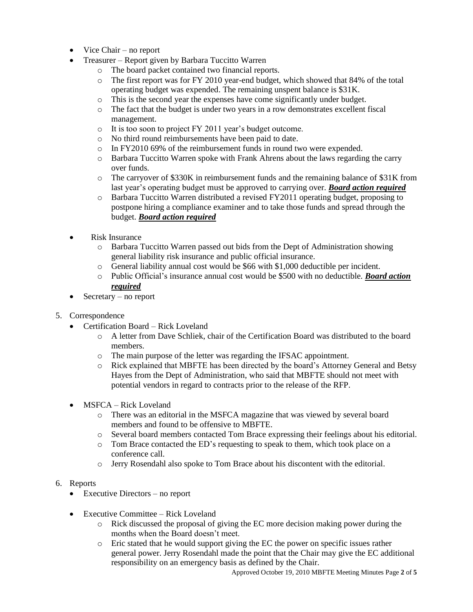- Vice Chair no report
- Treasurer Report given by Barbara Tuccitto Warren
	- o The board packet contained two financial reports.
	- $\circ$  The first report was for FY 2010 year-end budget, which showed that 84% of the total operating budget was expended. The remaining unspent balance is \$31K.
	- o This is the second year the expenses have come significantly under budget.
	- o The fact that the budget is under two years in a row demonstrates excellent fiscal management.
	- o It is too soon to project FY 2011 year's budget outcome.
	- o No third round reimbursements have been paid to date.
	- o In FY2010 69% of the reimbursement funds in round two were expended.
	- o Barbara Tuccitto Warren spoke with Frank Ahrens about the laws regarding the carry over funds.
	- o The carryover of \$330K in reimbursement funds and the remaining balance of \$31K from last year's operating budget must be approved to carrying over. *Board action required*
	- o Barbara Tuccitto Warren distributed a revised FY2011 operating budget, proposing to postpone hiring a compliance examiner and to take those funds and spread through the budget. *Board action required*
- Risk Insurance
	- o Barbara Tuccitto Warren passed out bids from the Dept of Administration showing general liability risk insurance and public official insurance.
	- o General liability annual cost would be \$66 with \$1,000 deductible per incident.
	- o Public Official's insurance annual cost would be \$500 with no deductible. *Board action required*
- Secretary no report
- 5. Correspondence
	- Certification Board Rick Loveland
		- o A letter from Dave Schliek, chair of the Certification Board was distributed to the board members.
		- o The main purpose of the letter was regarding the IFSAC appointment.
		- o Rick explained that MBFTE has been directed by the board's Attorney General and Betsy Hayes from the Dept of Administration, who said that MBFTE should not meet with potential vendors in regard to contracts prior to the release of the RFP.
	- MSFCA Rick Loveland
		- o There was an editorial in the MSFCA magazine that was viewed by several board members and found to be offensive to MBFTE.
		- o Several board members contacted Tom Brace expressing their feelings about his editorial.
		- o Tom Brace contacted the ED's requesting to speak to them, which took place on a conference call.
		- o Jerry Rosendahl also spoke to Tom Brace about his discontent with the editorial.
- 6. Reports
	- Executive Directors no report
	- Executive Committee Rick Loveland
		- o Rick discussed the proposal of giving the EC more decision making power during the months when the Board doesn't meet.
		- o Eric stated that he would support giving the EC the power on specific issues rather general power. Jerry Rosendahl made the point that the Chair may give the EC additional responsibility on an emergency basis as defined by the Chair.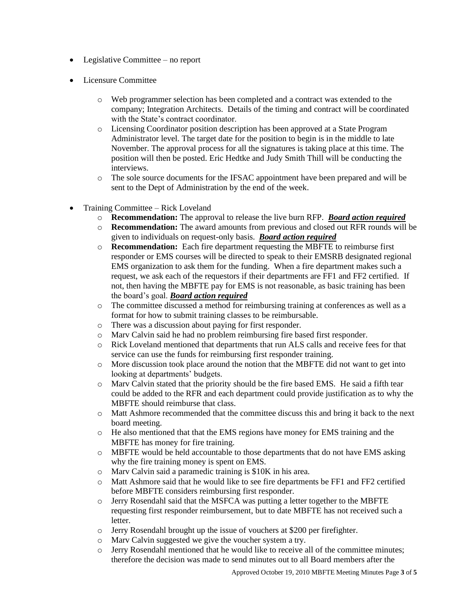- Legislative Committee no report
- Licensure Committee
	- o Web programmer selection has been completed and a contract was extended to the company; Integration Architects. Details of the timing and contract will be coordinated with the State's contract coordinator.
	- o Licensing Coordinator position description has been approved at a State Program Administrator level. The target date for the position to begin is in the middle to late November. The approval process for all the signatures is taking place at this time. The position will then be posted. Eric Hedtke and Judy Smith Thill will be conducting the interviews.
	- o The sole source documents for the IFSAC appointment have been prepared and will be sent to the Dept of Administration by the end of the week.
- Training Committee Rick Loveland
	- o **Recommendation:** The approval to release the live burn RFP. *Board action required*
	- o **Recommendation:** The award amounts from previous and closed out RFR rounds will be given to individuals on request-only basis. *Board action required*
	- o **Recommendation:** Each fire department requesting the MBFTE to reimburse first responder or EMS courses will be directed to speak to their EMSRB designated regional EMS organization to ask them for the funding. When a fire department makes such a request, we ask each of the requestors if their departments are FF1 and FF2 certified. If not, then having the MBFTE pay for EMS is not reasonable, as basic training has been the board's goal. *Board action required*
	- o The committee discussed a method for reimbursing training at conferences as well as a format for how to submit training classes to be reimbursable.
	- o There was a discussion about paying for first responder.
	- o Marv Calvin said he had no problem reimbursing fire based first responder.
	- o Rick Loveland mentioned that departments that run ALS calls and receive fees for that service can use the funds for reimbursing first responder training.
	- o More discussion took place around the notion that the MBFTE did not want to get into looking at departments' budgets.
	- o Marv Calvin stated that the priority should be the fire based EMS. He said a fifth tear could be added to the RFR and each department could provide justification as to why the MBFTE should reimburse that class.
	- o Matt Ashmore recommended that the committee discuss this and bring it back to the next board meeting.
	- o He also mentioned that that the EMS regions have money for EMS training and the MBFTE has money for fire training.
	- o MBFTE would be held accountable to those departments that do not have EMS asking why the fire training money is spent on EMS.
	- o Marv Calvin said a paramedic training is \$10K in his area.
	- o Matt Ashmore said that he would like to see fire departments be FF1 and FF2 certified before MBFTE considers reimbursing first responder.
	- o Jerry Rosendahl said that the MSFCA was putting a letter together to the MBFTE requesting first responder reimbursement, but to date MBFTE has not received such a letter.
	- o Jerry Rosendahl brought up the issue of vouchers at \$200 per firefighter.
	- o Marv Calvin suggested we give the voucher system a try.
	- o Jerry Rosendahl mentioned that he would like to receive all of the committee minutes; therefore the decision was made to send minutes out to all Board members after the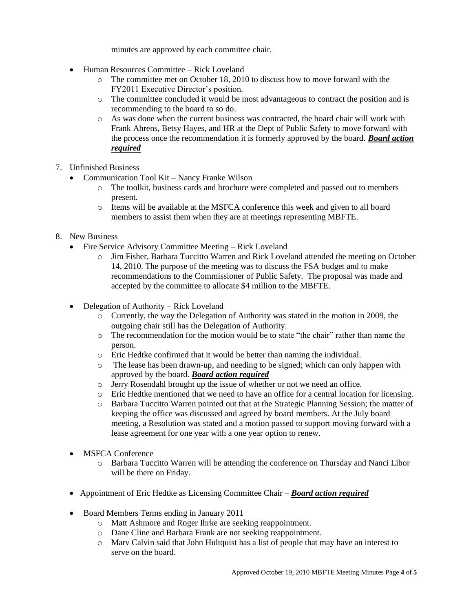minutes are approved by each committee chair.

- Human Resources Committee Rick Loveland
	- $\circ$  The committee met on October 18, 2010 to discuss how to move forward with the FY2011 Executive Director's position.
	- o The committee concluded it would be most advantageous to contract the position and is recommending to the board to so do.
	- o As was done when the current business was contracted, the board chair will work with Frank Ahrens, Betsy Hayes, and HR at the Dept of Public Safety to move forward with the process once the recommendation it is formerly approved by the board. *Board action required*
- 7. Unfinished Business
	- Communication Tool Kit Nancy Franke Wilson
		- o The toolkit, business cards and brochure were completed and passed out to members present.
		- o Items will be available at the MSFCA conference this week and given to all board members to assist them when they are at meetings representing MBFTE.
- 8. New Business
	- Fire Service Advisory Committee Meeting Rick Loveland
		- o Jim Fisher, Barbara Tuccitto Warren and Rick Loveland attended the meeting on October 14, 2010. The purpose of the meeting was to discuss the FSA budget and to make recommendations to the Commissioner of Public Safety. The proposal was made and accepted by the committee to allocate \$4 million to the MBFTE.
	- Delegation of Authority Rick Loveland
		- o Currently, the way the Delegation of Authority was stated in the motion in 2009, the outgoing chair still has the Delegation of Authority.
		- o The recommendation for the motion would be to state "the chair" rather than name the person.
		- o Eric Hedtke confirmed that it would be better than naming the individual.
		- o The lease has been drawn-up, and needing to be signed; which can only happen with approved by the board. *Board action required*
		- o Jerry Rosendahl brought up the issue of whether or not we need an office.
		- o Eric Hedtke mentioned that we need to have an office for a central location for licensing.
		- o Barbara Tuccitto Warren pointed out that at the Strategic Planning Session; the matter of keeping the office was discussed and agreed by board members. At the July board meeting, a Resolution was stated and a motion passed to support moving forward with a lease agreement for one year with a one year option to renew.
	- MSFCA Conference
		- o Barbara Tuccitto Warren will be attending the conference on Thursday and Nanci Libor will be there on Friday.
	- Appointment of Eric Hedtke as Licensing Committee Chair *Board action required*
	- Board Members Terms ending in January 2011
		- o Matt Ashmore and Roger Ihrke are seeking reappointment.
		- o Dane Cline and Barbara Frank are not seeking reappointment.
		- o Marv Calvin said that John Hultquist has a list of people that may have an interest to serve on the board.